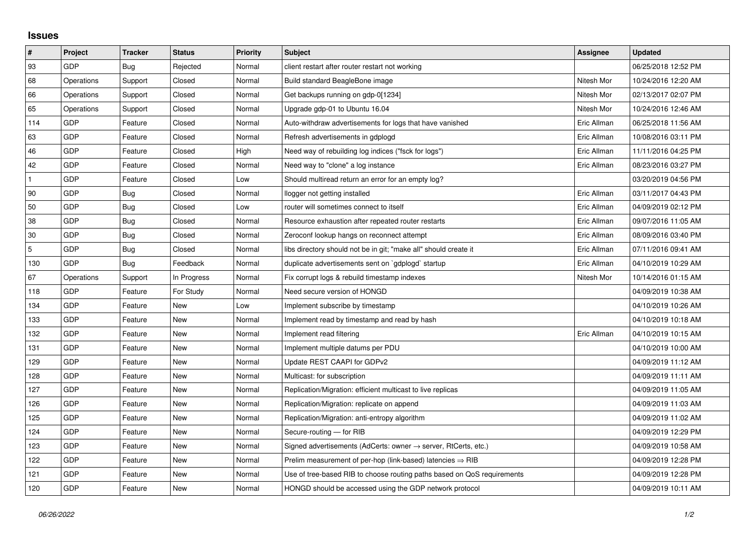## **Issues**

| $\pmb{\sharp}$ | Project    | <b>Tracker</b> | <b>Status</b> | <b>Priority</b> | <b>Subject</b>                                                             | Assignee    | <b>Updated</b>      |
|----------------|------------|----------------|---------------|-----------------|----------------------------------------------------------------------------|-------------|---------------------|
| 93             | GDP        | Bug            | Rejected      | Normal          | client restart after router restart not working                            |             | 06/25/2018 12:52 PM |
| 68             | Operations | Support        | Closed        | Normal          | Build standard BeagleBone image                                            | Nitesh Mor  | 10/24/2016 12:20 AM |
| 66             | Operations | Support        | Closed        | Normal          | Get backups running on gdp-0[1234]                                         | Nitesh Mor  | 02/13/2017 02:07 PM |
| 65             | Operations | Support        | Closed        | Normal          | Upgrade gdp-01 to Ubuntu 16.04                                             | Nitesh Mor  | 10/24/2016 12:46 AM |
| 114            | GDP        | Feature        | Closed        | Normal          | Auto-withdraw advertisements for logs that have vanished                   | Eric Allman | 06/25/2018 11:56 AM |
| 63             | <b>GDP</b> | Feature        | Closed        | Normal          | Refresh advertisements in gdplogd                                          | Eric Allman | 10/08/2016 03:11 PM |
| 46             | <b>GDP</b> | Feature        | Closed        | High            | Need way of rebuilding log indices ("fsck for logs")                       | Eric Allman | 11/11/2016 04:25 PM |
| 42             | <b>GDP</b> | Feature        | Closed        | Normal          | Need way to "clone" a log instance                                         | Eric Allman | 08/23/2016 03:27 PM |
|                | GDP        | Feature        | Closed        | Low             | Should multiread return an error for an empty log?                         |             | 03/20/2019 04:56 PM |
| 90             | <b>GDP</b> | Bug            | Closed        | Normal          | llogger not getting installed                                              | Eric Allman | 03/11/2017 04:43 PM |
| 50             | <b>GDP</b> | Bug            | Closed        | Low             | router will sometimes connect to itself                                    | Eric Allman | 04/09/2019 02:12 PM |
| 38             | GDP        | Bug            | Closed        | Normal          | Resource exhaustion after repeated router restarts                         | Eric Allman | 09/07/2016 11:05 AM |
| 30             | <b>GDP</b> | Bug            | Closed        | Normal          | Zeroconf lookup hangs on reconnect attempt                                 | Eric Allman | 08/09/2016 03:40 PM |
| $\sqrt{5}$     | <b>GDP</b> | Bug            | Closed        | Normal          | libs directory should not be in git; "make all" should create it           | Eric Allman | 07/11/2016 09:41 AM |
| 130            | <b>GDP</b> | Bug            | Feedback      | Normal          | duplicate advertisements sent on `gdplogd` startup                         | Eric Allman | 04/10/2019 10:29 AM |
| 67             | Operations | Support        | In Progress   | Normal          | Fix corrupt logs & rebuild timestamp indexes                               | Nitesh Mor  | 10/14/2016 01:15 AM |
| 118            | <b>GDP</b> | Feature        | For Study     | Normal          | Need secure version of HONGD                                               |             | 04/09/2019 10:38 AM |
| 134            | <b>GDP</b> | Feature        | <b>New</b>    | Low             | Implement subscribe by timestamp                                           |             | 04/10/2019 10:26 AM |
| 133            | <b>GDP</b> | Feature        | New           | Normal          | Implement read by timestamp and read by hash                               |             | 04/10/2019 10:18 AM |
| 132            | GDP        | Feature        | New           | Normal          | Implement read filtering                                                   | Eric Allman | 04/10/2019 10:15 AM |
| 131            | <b>GDP</b> | Feature        | <b>New</b>    | Normal          | Implement multiple datums per PDU                                          |             | 04/10/2019 10:00 AM |
| 129            | GDP        | Feature        | <b>New</b>    | Normal          | Update REST CAAPI for GDPv2                                                |             | 04/09/2019 11:12 AM |
| 128            | <b>GDP</b> | Feature        | New           | Normal          | Multicast: for subscription                                                |             | 04/09/2019 11:11 AM |
| 127            | <b>GDP</b> | Feature        | <b>New</b>    | Normal          | Replication/Migration: efficient multicast to live replicas                |             | 04/09/2019 11:05 AM |
| 126            | <b>GDP</b> | Feature        | <b>New</b>    | Normal          | Replication/Migration: replicate on append                                 |             | 04/09/2019 11:03 AM |
| 125            | GDP        | Feature        | New           | Normal          | Replication/Migration: anti-entropy algorithm                              |             | 04/09/2019 11:02 AM |
| 124            | GDP        | Feature        | New           | Normal          | Secure-routing - for RIB                                                   |             | 04/09/2019 12:29 PM |
| 123            | <b>GDP</b> | Feature        | <b>New</b>    | Normal          | Signed advertisements (AdCerts: owner $\rightarrow$ server, RtCerts, etc.) |             | 04/09/2019 10:58 AM |
| 122            | <b>GDP</b> | Feature        | <b>New</b>    | Normal          | Prelim measurement of per-hop (link-based) latencies $\Rightarrow$ RIB     |             | 04/09/2019 12:28 PM |
| 121            | GDP        | Feature        | New           | Normal          | Use of tree-based RIB to choose routing paths based on QoS requirements    |             | 04/09/2019 12:28 PM |
| 120            | GDP        | Feature        | <b>New</b>    | Normal          | HONGD should be accessed using the GDP network protocol                    |             | 04/09/2019 10:11 AM |